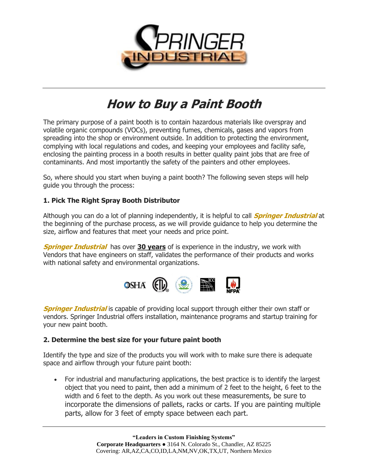

# **How to Buy a Paint Booth**

The primary purpose of a paint booth is to contain hazardous materials like overspray and volatile organic compounds (VOCs), preventing fumes, chemicals, gases and vapors from spreading into the shop or environment outside. In addition to protecting the environment, complying with local regulations and codes, and keeping your employees and facility safe, enclosing the painting process in a booth results in better quality paint jobs that are free of contaminants. And most importantly the safety of the painters and other employees.

So, where should you start when buying a paint booth? The following seven steps will help guide you through the process:

# **1. Pick The Right Spray Booth Distributor**

Although you can do a lot of planning independently, it is helpful to call **Springer Industrial** at the beginning of the purchase process, as we will provide guidance to help you determine the size, airflow and features that meet your needs and price point.

**Springer Industrial** has over **30 years** of is experience in the industry, we work with Vendors that have engineers on staff, validates the performance of their products and works with national safety and environmental organizations.



**Springer Industrial** is capable of providing local support through either their own staff or vendors. Springer Industrial offers installation, maintenance programs and startup training for your new paint booth.

### **2. Determine the best size for your future paint booth**

Identify the type and size of the products you will work with to make sure there is adequate space and airflow through your future paint booth:

• For industrial and manufacturing applications, the best practice is to identify the largest object that you need to paint, then add a minimum of 2 feet to the height, 6 feet to the width and 6 feet to the depth. As you work out these measurements, be sure to incorporate the dimensions of pallets, racks or carts. If you are painting multiple parts, allow for 3 feet of empty space between each part.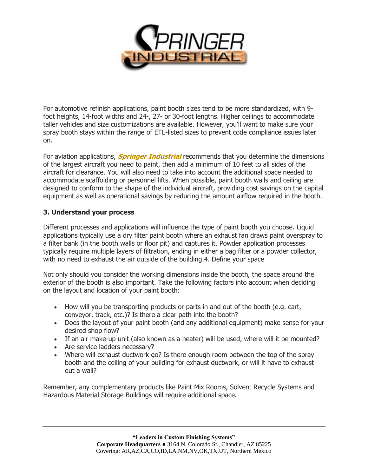

For automotive refinish applications, paint booth sizes tend to be more standardized, with 9 foot heights, 14-foot widths and 24-, 27- or 30-foot lengths. Higher ceilings to accommodate taller vehicles and size customizations are available. However, you'll want to make sure your spray booth stays within the range of ETL-listed sizes to prevent code compliance issues later on.

For aviation applications, **Springer Industrial** recommends that you determine the dimensions of the largest aircraft you need to paint, then add a minimum of 10 feet to all sides of the aircraft for clearance. You will also need to take into account the additional space needed to accommodate scaffolding or personnel lifts. When possible, paint booth walls and ceiling are designed to conform to the shape of the individual aircraft, providing cost savings on the capital equipment as well as operational savings by reducing the amount airflow required in the booth.

# **3. Understand your process**

Different processes and applications will influence the type of paint booth you choose. Liquid applications typically use a dry filter paint booth where an exhaust fan draws paint overspray to a filter bank (in the booth walls or floor pit) and captures it. Powder application processes typically require multiple layers of filtration, ending in either a bag filter or a powder collector, with no need to exhaust the air outside of the building. 4. Define your space

Not only should you consider the working dimensions inside the booth, the space around the exterior of the booth is also important. Take the following factors into account when deciding on the layout and location of your paint booth:

- How will you be transporting products or parts in and out of the booth (e.g. cart, conveyor, track, etc.)? Is there a clear path into the booth?
- Does the layout of your paint booth (and any additional equipment) make sense for your desired shop flow?
- If an air make-up unit (also known as a heater) will be used, where will it be mounted?
- Are service ladders necessary?
- Where will exhaust ductwork go? Is there enough room between the top of the spray booth and the ceiling of your building for exhaust ductwork, or will it have to exhaust out a wall?

Remember, any complementary products like Paint Mix Rooms, Solvent Recycle Systems and Hazardous Material Storage Buildings will require additional space.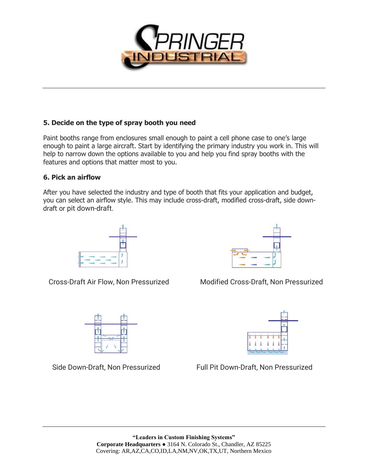

# **5. Decide on the type of spray booth you need**

Paint booths range from enclosures small enough to paint a cell phone case to one's large enough to paint a large aircraft. Start by identifying the primary industry you work in. This will help to narrow down the options available to you and help you find spray booths with the features and options that matter most to you.

### **6. Pick an airflow**

After you have selected the industry and type of booth that fits your application and budget, you can select an airflow style. This may include cross-draft, modified cross-draft, side downdraft or pit down-draft.



Cross-Draft Air Flow, Non Pressurized Modified Cross-Draft, Non Pressurized





Side Down-Draft, Non Pressurized Full Pit Down-Draft, Non Pressurized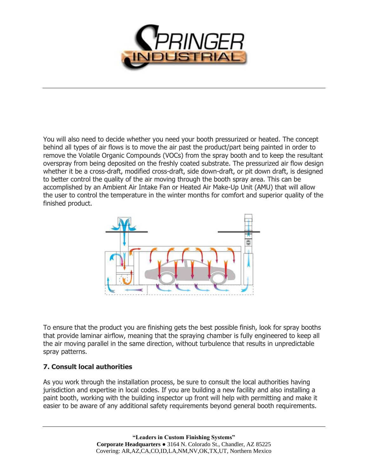

You will also need to decide whether you need your booth pressurized or heated. The concept behind all types of air flows is to move the air past the product/part being painted in order to remove the Volatile Organic Compounds (VOCs) from the spray booth and to keep the resultant overspray from being deposited on the freshly coated substrate. The pressurized air flow design whether it be a cross-draft, modified cross-draft, side down-draft, or pit down draft, is designed to better control the quality of the air moving through the booth spray area. This can be accomplished by an Ambient Air Intake Fan or Heated Air Make-Up Unit (AMU) that will allow the user to control the temperature in the winter months for comfort and superior quality of the finished product.



To ensure that the product you are finishing gets the best possible finish, look for spray booths that provide laminar airflow, meaning that the spraying chamber is fully engineered to keep all the air moving parallel in the same direction, without turbulence that results in unpredictable spray patterns.

### **7. Consult local authorities**

As you work through the installation process, be sure to consult the local authorities having jurisdiction and expertise in local codes. If you are building a new facility and also installing a paint booth, working with the building inspector up front will help with permitting and make it easier to be aware of any additional safety requirements beyond general booth requirements.